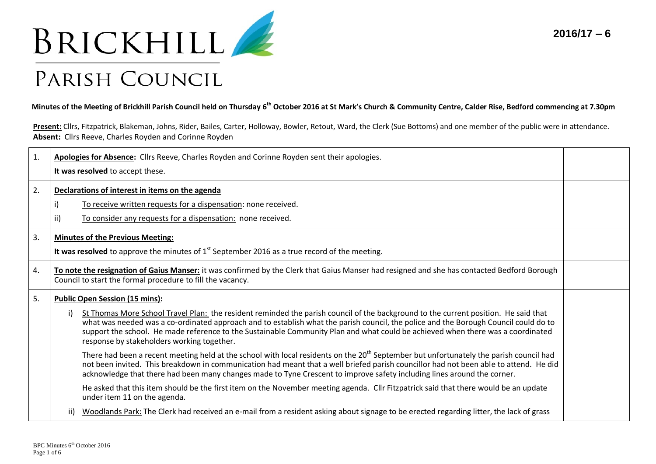



# PARISH COUNCIL

### **Minutes of the Meeting of Brickhill Parish Council held on Thursday 6 th October 2016 at St Mark's Church & Community Centre, Calder Rise, Bedford commencing at 7.30pm**

**Present:** Cllrs, Fitzpatrick, Blakeman, Johns, Rider, Bailes, Carter, Holloway, Bowler, Retout, Ward, the Clerk (Sue Bottoms) and one member of the public were in attendance. **Absent:** Cllrs Reeve, Charles Royden and Corinne Royden

| 1. | Apologies for Absence: Cllrs Reeve, Charles Royden and Corinne Royden sent their apologies.<br>It was resolved to accept these.                                                                                                                                                                                                                                                                                                                                    |  |
|----|--------------------------------------------------------------------------------------------------------------------------------------------------------------------------------------------------------------------------------------------------------------------------------------------------------------------------------------------------------------------------------------------------------------------------------------------------------------------|--|
| 2. | Declarations of interest in items on the agenda                                                                                                                                                                                                                                                                                                                                                                                                                    |  |
|    | To receive written requests for a dispensation: none received.                                                                                                                                                                                                                                                                                                                                                                                                     |  |
|    | ii)<br>To consider any requests for a dispensation: none received.                                                                                                                                                                                                                                                                                                                                                                                                 |  |
| 3. | <b>Minutes of the Previous Meeting:</b>                                                                                                                                                                                                                                                                                                                                                                                                                            |  |
|    | It was resolved to approve the minutes of $1st$ September 2016 as a true record of the meeting.                                                                                                                                                                                                                                                                                                                                                                    |  |
| 4. | To note the resignation of Gaius Manser: it was confirmed by the Clerk that Gaius Manser had resigned and she has contacted Bedford Borough<br>Council to start the formal procedure to fill the vacancy.                                                                                                                                                                                                                                                          |  |
| 5. | <b>Public Open Session (15 mins):</b>                                                                                                                                                                                                                                                                                                                                                                                                                              |  |
|    | St Thomas More School Travel Plan: the resident reminded the parish council of the background to the current position. He said that<br>i)<br>what was needed was a co-ordinated approach and to establish what the parish council, the police and the Borough Council could do to<br>support the school. He made reference to the Sustainable Community Plan and what could be achieved when there was a coordinated<br>response by stakeholders working together. |  |
|    | There had been a recent meeting held at the school with local residents on the 20 <sup>th</sup> September but unfortunately the parish council had<br>not been invited. This breakdown in communication had meant that a well briefed parish councillor had not been able to attend. He did<br>acknowledge that there had been many changes made to Tyne Crescent to improve safety including lines around the corner.                                             |  |
|    | He asked that this item should be the first item on the November meeting agenda. Cllr Fitzpatrick said that there would be an update<br>under item 11 on the agenda.                                                                                                                                                                                                                                                                                               |  |
|    | Woodlands Park: The Clerk had received an e-mail from a resident asking about signage to be erected regarding litter, the lack of grass<br>ii)                                                                                                                                                                                                                                                                                                                     |  |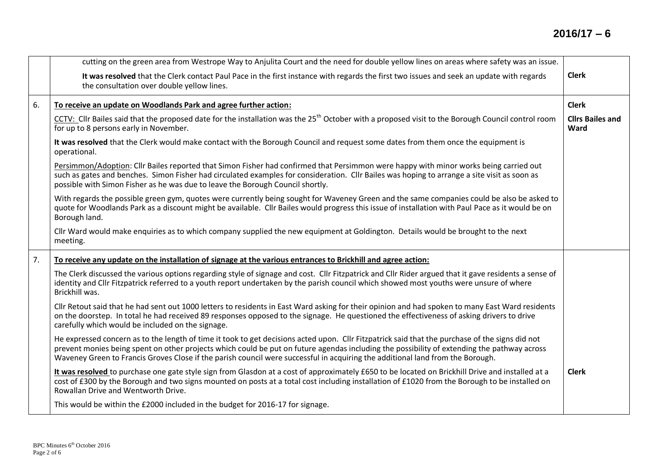## **2016/17 – 6**

|    | cutting on the green area from Westrope Way to Anjulita Court and the need for double yellow lines on areas where safety was an issue.                                                                                                                                                                                                                                                                                           |                                 |
|----|----------------------------------------------------------------------------------------------------------------------------------------------------------------------------------------------------------------------------------------------------------------------------------------------------------------------------------------------------------------------------------------------------------------------------------|---------------------------------|
|    | It was resolved that the Clerk contact Paul Pace in the first instance with regards the first two issues and seek an update with regards<br>the consultation over double yellow lines.                                                                                                                                                                                                                                           | <b>Clerk</b>                    |
| 6. | To receive an update on Woodlands Park and agree further action:                                                                                                                                                                                                                                                                                                                                                                 | <b>Clerk</b>                    |
|    | CCTV: Cllr Bailes said that the proposed date for the installation was the 25 <sup>th</sup> October with a proposed visit to the Borough Council control room<br>for up to 8 persons early in November.                                                                                                                                                                                                                          | <b>Clirs Bailes and</b><br>Ward |
|    | It was resolved that the Clerk would make contact with the Borough Council and request some dates from them once the equipment is<br>operational.                                                                                                                                                                                                                                                                                |                                 |
|    | Persimmon/Adoption: Cllr Bailes reported that Simon Fisher had confirmed that Persimmon were happy with minor works being carried out<br>such as gates and benches. Simon Fisher had circulated examples for consideration. Cllr Bailes was hoping to arrange a site visit as soon as<br>possible with Simon Fisher as he was due to leave the Borough Council shortly.                                                          |                                 |
|    | With regards the possible green gym, quotes were currently being sought for Waveney Green and the same companies could be also be asked to<br>quote for Woodlands Park as a discount might be available. Cllr Bailes would progress this issue of installation with Paul Pace as it would be on<br>Borough land.                                                                                                                 |                                 |
|    | Cllr Ward would make enquiries as to which company supplied the new equipment at Goldington. Details would be brought to the next<br>meeting.                                                                                                                                                                                                                                                                                    |                                 |
| 7. | To receive any update on the installation of signage at the various entrances to Brickhill and agree action:                                                                                                                                                                                                                                                                                                                     |                                 |
|    | The Clerk discussed the various options regarding style of signage and cost. Cllr Fitzpatrick and Cllr Rider argued that it gave residents a sense of<br>identity and Cllr Fitzpatrick referred to a youth report undertaken by the parish council which showed most youths were unsure of where<br>Brickhill was.                                                                                                               |                                 |
|    | Cllr Retout said that he had sent out 1000 letters to residents in East Ward asking for their opinion and had spoken to many East Ward residents<br>on the doorstep. In total he had received 89 responses opposed to the signage. He questioned the effectiveness of asking drivers to drive<br>carefully which would be included on the signage.                                                                               |                                 |
|    | He expressed concern as to the length of time it took to get decisions acted upon. Cllr Fitzpatrick said that the purchase of the signs did not<br>prevent monies being spent on other projects which could be put on future agendas including the possibility of extending the pathway across<br>Waveney Green to Francis Groves Close if the parish council were successful in acquiring the additional land from the Borough. |                                 |
|    | It was resolved to purchase one gate style sign from Glasdon at a cost of approximately £650 to be located on Brickhill Drive and installed at a<br>cost of £300 by the Borough and two signs mounted on posts at a total cost including installation of £1020 from the Borough to be installed on<br>Rowallan Drive and Wentworth Drive.                                                                                        | <b>Clerk</b>                    |
|    | This would be within the £2000 included in the budget for 2016-17 for signage.                                                                                                                                                                                                                                                                                                                                                   |                                 |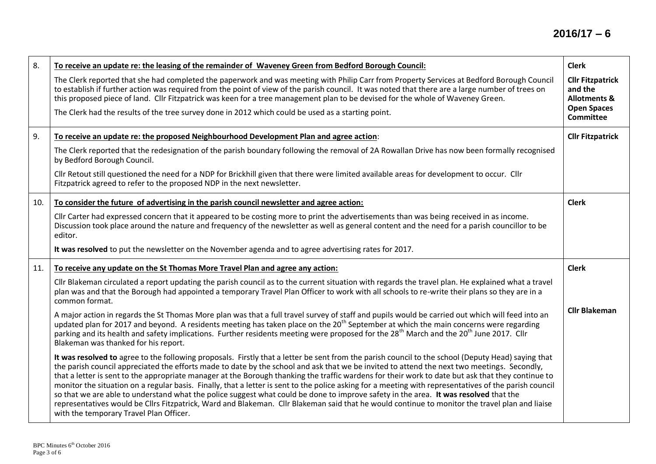| 8.  | To receive an update re: the leasing of the remainder of Waveney Green from Bedford Borough Council:                                                                                                                                                                                                                                                                                                                                                                                                                                                                                                                                                                                                                                                                                                                                                                                                       | <b>Clerk</b>                                                  |  |  |
|-----|------------------------------------------------------------------------------------------------------------------------------------------------------------------------------------------------------------------------------------------------------------------------------------------------------------------------------------------------------------------------------------------------------------------------------------------------------------------------------------------------------------------------------------------------------------------------------------------------------------------------------------------------------------------------------------------------------------------------------------------------------------------------------------------------------------------------------------------------------------------------------------------------------------|---------------------------------------------------------------|--|--|
|     | The Clerk reported that she had completed the paperwork and was meeting with Philip Carr from Property Services at Bedford Borough Council<br>to establish if further action was required from the point of view of the parish council. It was noted that there are a large number of trees on<br>this proposed piece of land. Cllr Fitzpatrick was keen for a tree management plan to be devised for the whole of Waveney Green.                                                                                                                                                                                                                                                                                                                                                                                                                                                                          | <b>Cllr Fitzpatrick</b><br>and the<br><b>Allotments &amp;</b> |  |  |
|     | The Clerk had the results of the tree survey done in 2012 which could be used as a starting point.                                                                                                                                                                                                                                                                                                                                                                                                                                                                                                                                                                                                                                                                                                                                                                                                         | <b>Open Spaces</b><br><b>Committee</b>                        |  |  |
| 9.  | To receive an update re: the proposed Neighbourhood Development Plan and agree action:                                                                                                                                                                                                                                                                                                                                                                                                                                                                                                                                                                                                                                                                                                                                                                                                                     |                                                               |  |  |
|     | The Clerk reported that the redesignation of the parish boundary following the removal of 2A Rowallan Drive has now been formally recognised<br>by Bedford Borough Council.                                                                                                                                                                                                                                                                                                                                                                                                                                                                                                                                                                                                                                                                                                                                |                                                               |  |  |
|     | Cllr Retout still questioned the need for a NDP for Brickhill given that there were limited available areas for development to occur. Cllr<br>Fitzpatrick agreed to refer to the proposed NDP in the next newsletter.                                                                                                                                                                                                                                                                                                                                                                                                                                                                                                                                                                                                                                                                                      |                                                               |  |  |
| 10. | To consider the future of advertising in the parish council newsletter and agree action:                                                                                                                                                                                                                                                                                                                                                                                                                                                                                                                                                                                                                                                                                                                                                                                                                   | <b>Clerk</b>                                                  |  |  |
|     | Cllr Carter had expressed concern that it appeared to be costing more to print the advertisements than was being received in as income.<br>Discussion took place around the nature and frequency of the newsletter as well as general content and the need for a parish councillor to be<br>editor.                                                                                                                                                                                                                                                                                                                                                                                                                                                                                                                                                                                                        |                                                               |  |  |
|     | It was resolved to put the newsletter on the November agenda and to agree advertising rates for 2017.                                                                                                                                                                                                                                                                                                                                                                                                                                                                                                                                                                                                                                                                                                                                                                                                      |                                                               |  |  |
| 11. | To receive any update on the St Thomas More Travel Plan and agree any action:                                                                                                                                                                                                                                                                                                                                                                                                                                                                                                                                                                                                                                                                                                                                                                                                                              | <b>Clerk</b>                                                  |  |  |
|     | Cllr Blakeman circulated a report updating the parish council as to the current situation with regards the travel plan. He explained what a travel<br>plan was and that the Borough had appointed a temporary Travel Plan Officer to work with all schools to re-write their plans so they are in a<br>common format.                                                                                                                                                                                                                                                                                                                                                                                                                                                                                                                                                                                      |                                                               |  |  |
|     | A major action in regards the St Thomas More plan was that a full travel survey of staff and pupils would be carried out which will feed into an<br>updated plan for 2017 and beyond. A residents meeting has taken place on the 20 <sup>th</sup> September at which the main concerns were regarding<br>parking and its health and safety implications. Further residents meeting were proposed for the 28 <sup>th</sup> March and the 20 <sup>th</sup> June 2017. Cllr<br>Blakeman was thanked for his report.                                                                                                                                                                                                                                                                                                                                                                                           | <b>Cllr Blakeman</b>                                          |  |  |
|     | It was resolved to agree to the following proposals. Firstly that a letter be sent from the parish council to the school (Deputy Head) saying that<br>the parish council appreciated the efforts made to date by the school and ask that we be invited to attend the next two meetings. Secondly,<br>that a letter is sent to the appropriate manager at the Borough thanking the traffic wardens for their work to date but ask that they continue to<br>monitor the situation on a regular basis. Finally, that a letter is sent to the police asking for a meeting with representatives of the parish council<br>so that we are able to understand what the police suggest what could be done to improve safety in the area. It was resolved that the<br>representatives would be Cllrs Fitzpatrick, Ward and Blakeman. Cllr Blakeman said that he would continue to monitor the travel plan and liaise |                                                               |  |  |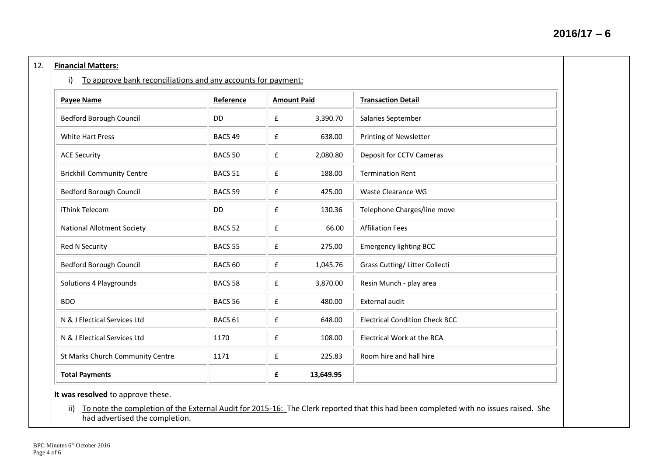### 12. **Financial Matters:**

i) To approve bank reconciliations and any accounts for payment:

| <b>Payee Name</b>                 | Reference          | <b>Amount Paid</b> |           | <b>Transaction Detail</b>             |
|-----------------------------------|--------------------|--------------------|-----------|---------------------------------------|
| <b>Bedford Borough Council</b>    | DD                 | £                  | 3,390.70  | Salaries September                    |
| <b>White Hart Press</b>           | BACS <sub>49</sub> | £                  | 638.00    | Printing of Newsletter                |
| <b>ACE Security</b>               | BACS 50            | £                  | 2,080.80  | Deposit for CCTV Cameras              |
| <b>Brickhill Community Centre</b> | BACS <sub>51</sub> | £                  | 188.00    | <b>Termination Rent</b>               |
| <b>Bedford Borough Council</b>    | BACS 59            | £                  | 425.00    | Waste Clearance WG                    |
| iThink Telecom                    | <b>DD</b>          | £                  | 130.36    | Telephone Charges/line move           |
| <b>National Allotment Society</b> | BACS <sub>52</sub> | £                  | 66.00     | <b>Affiliation Fees</b>               |
| Red N Security                    | BACS <sub>55</sub> | £                  | 275.00    | <b>Emergency lighting BCC</b>         |
| <b>Bedford Borough Council</b>    | BACS <sub>60</sub> | £                  | 1,045.76  | Grass Cutting/ Litter Collecti        |
| Solutions 4 Playgrounds           | BACS 58            | £                  | 3,870.00  | Resin Munch - play area               |
| <b>BDO</b>                        | BACS 56            | £                  | 480.00    | External audit                        |
| N & J Electical Services Ltd      | BACS <sub>61</sub> | £                  | 648.00    | <b>Electrical Condition Check BCC</b> |
| N & J Electical Services Ltd      | 1170               | £                  | 108.00    | Electrical Work at the BCA            |
| St Marks Church Community Centre  | 1171               | £                  | 225.83    | Room hire and hall hire               |
| <b>Total Payments</b>             |                    | £                  | 13,649.95 |                                       |

**It was resolved** to approve these.

ii) To note the completion of the External Audit for 2015-16: The Clerk reported that this had been completed with no issues raised. She had advertised the completion.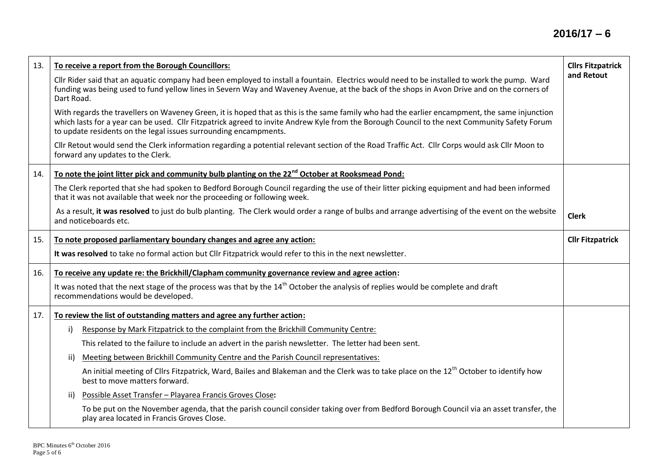## **2016/17 – 6**

| 13. | To receive a report from the Borough Councillors:                                                                                                                                                                                                                                                        |                                                                                                                                                                                                                                                                                                                                                                    |                         |  |  |
|-----|----------------------------------------------------------------------------------------------------------------------------------------------------------------------------------------------------------------------------------------------------------------------------------------------------------|--------------------------------------------------------------------------------------------------------------------------------------------------------------------------------------------------------------------------------------------------------------------------------------------------------------------------------------------------------------------|-------------------------|--|--|
|     | Cllr Rider said that an aquatic company had been employed to install a fountain. Electrics would need to be installed to work the pump. Ward<br>funding was being used to fund yellow lines in Severn Way and Waveney Avenue, at the back of the shops in Avon Drive and on the corners of<br>Dart Road. |                                                                                                                                                                                                                                                                                                                                                                    | and Retout              |  |  |
|     |                                                                                                                                                                                                                                                                                                          | With regards the travellers on Waveney Green, it is hoped that as this is the same family who had the earlier encampment, the same injunction<br>which lasts for a year can be used. Cllr Fitzpatrick agreed to invite Andrew Kyle from the Borough Council to the next Community Safety Forum<br>to update residents on the legal issues surrounding encampments. |                         |  |  |
|     |                                                                                                                                                                                                                                                                                                          | Cllr Retout would send the Clerk information regarding a potential relevant section of the Road Traffic Act. Cllr Corps would ask Cllr Moon to<br>forward any updates to the Clerk.                                                                                                                                                                                |                         |  |  |
| 14. | To note the joint litter pick and community bulb planting on the 22 <sup>nd</sup> October at Rooksmead Pond:                                                                                                                                                                                             |                                                                                                                                                                                                                                                                                                                                                                    |                         |  |  |
|     |                                                                                                                                                                                                                                                                                                          | The Clerk reported that she had spoken to Bedford Borough Council regarding the use of their litter picking equipment and had been informed<br>that it was not available that week nor the proceeding or following week.                                                                                                                                           |                         |  |  |
|     |                                                                                                                                                                                                                                                                                                          | As a result, it was resolved to just do bulb planting. The Clerk would order a range of bulbs and arrange advertising of the event on the website<br>and noticeboards etc.                                                                                                                                                                                         | <b>Clerk</b>            |  |  |
| 15. |                                                                                                                                                                                                                                                                                                          | To note proposed parliamentary boundary changes and agree any action:                                                                                                                                                                                                                                                                                              | <b>Cllr Fitzpatrick</b> |  |  |
|     |                                                                                                                                                                                                                                                                                                          | It was resolved to take no formal action but Cllr Fitzpatrick would refer to this in the next newsletter.                                                                                                                                                                                                                                                          |                         |  |  |
| 16. |                                                                                                                                                                                                                                                                                                          | To receive any update re: the Brickhill/Clapham community governance review and agree action:                                                                                                                                                                                                                                                                      |                         |  |  |
|     |                                                                                                                                                                                                                                                                                                          | It was noted that the next stage of the process was that by the 14 <sup>th</sup> October the analysis of replies would be complete and draft<br>recommendations would be developed.                                                                                                                                                                                |                         |  |  |
| 17. | To review the list of outstanding matters and agree any further action:                                                                                                                                                                                                                                  |                                                                                                                                                                                                                                                                                                                                                                    |                         |  |  |
|     | i)                                                                                                                                                                                                                                                                                                       | Response by Mark Fitzpatrick to the complaint from the Brickhill Community Centre:                                                                                                                                                                                                                                                                                 |                         |  |  |
|     |                                                                                                                                                                                                                                                                                                          | This related to the failure to include an advert in the parish newsletter. The letter had been sent.                                                                                                                                                                                                                                                               |                         |  |  |
|     | ii)                                                                                                                                                                                                                                                                                                      | Meeting between Brickhill Community Centre and the Parish Council representatives:                                                                                                                                                                                                                                                                                 |                         |  |  |
|     |                                                                                                                                                                                                                                                                                                          | An initial meeting of Cllrs Fitzpatrick, Ward, Bailes and Blakeman and the Clerk was to take place on the 12 <sup>th</sup> October to identify how<br>best to move matters forward.                                                                                                                                                                                |                         |  |  |
|     | ii)                                                                                                                                                                                                                                                                                                      | Possible Asset Transfer - Playarea Francis Groves Close:                                                                                                                                                                                                                                                                                                           |                         |  |  |
|     |                                                                                                                                                                                                                                                                                                          | To be put on the November agenda, that the parish council consider taking over from Bedford Borough Council via an asset transfer, the<br>play area located in Francis Groves Close.                                                                                                                                                                               |                         |  |  |